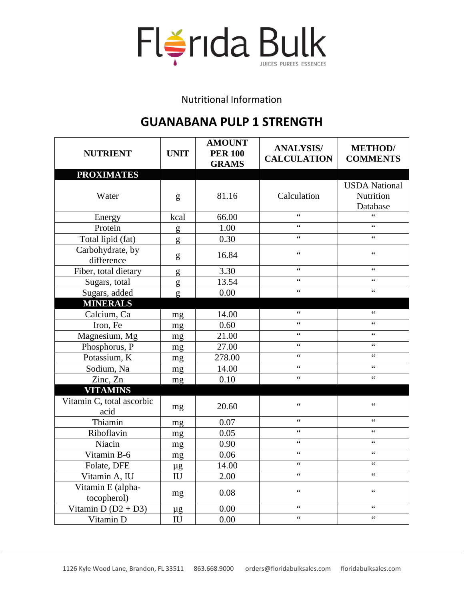

Nutritional Information

## **GUANABANA PULP 1 STRENGTH**

| <b>NUTRIENT</b>                         | <b>UNIT</b> | <b>AMOUNT</b><br><b>PER 100</b><br><b>GRAMS</b> | <b>ANALYSIS/</b><br><b>CALCULATION</b> | <b>METHOD</b> /<br><b>COMMENTS</b>            |
|-----------------------------------------|-------------|-------------------------------------------------|----------------------------------------|-----------------------------------------------|
| <b>PROXIMATES</b>                       |             |                                                 |                                        |                                               |
| Water                                   | g           | 81.16                                           | Calculation                            | <b>USDA</b> National<br>Nutrition<br>Database |
| Energy                                  | kcal        | 66.00                                           | $\zeta \, \zeta$                       | $\epsilon$                                    |
| Protein                                 | g           | 1.00                                            | $\zeta \, \zeta$                       | $\zeta \, \zeta$                              |
| Total lipid (fat)                       | g           | 0.30                                            | 66                                     | 66                                            |
| Carbohydrate, by<br>difference          | g           | 16.84                                           | $\zeta$ $\zeta$                        | $\zeta$ $\zeta$                               |
| Fiber, total dietary                    | g           | 3.30                                            | 66                                     | 66                                            |
| Sugars, total                           | g           | 13.54                                           | $\zeta \, \zeta$                       | $\zeta \, \zeta$                              |
| Sugars, added                           | g           | 0.00                                            | $\zeta \, \zeta$                       | $\zeta \, \zeta$                              |
| <b>MINERALS</b>                         |             |                                                 |                                        |                                               |
| Calcium, Ca                             | mg          | 14.00                                           | $\zeta$ $\zeta$                        | 66                                            |
| Iron, Fe                                | mg          | 0.60                                            | 66                                     | 66                                            |
| Magnesium, Mg                           | mg          | 21.00                                           | $\zeta \zeta$                          | $\zeta \, \zeta$                              |
| Phosphorus, P                           | mg          | 27.00                                           | $\zeta$ $\zeta$                        | $\zeta$ $\zeta$                               |
| Potassium, K                            | mg          | 278.00                                          | $\zeta \, \zeta$                       | $\zeta \, \zeta$                              |
| Sodium, Na                              | mg          | 14.00                                           | 66                                     | 66                                            |
| Zinc, Zn                                | mg          | 0.10                                            | $\epsilon$                             | $\zeta \, \zeta$                              |
| <b>VITAMINS</b>                         |             |                                                 |                                        |                                               |
| Vitamin C, total ascorbic<br>acid       | mg          | 20.60                                           | $\zeta \, \zeta$                       | $\zeta \, \zeta$                              |
| Thiamin                                 | mg          | 0.07                                            | $\zeta \zeta$                          | $\zeta \, \zeta$                              |
| Riboflavin                              | mg          | 0.05                                            | $\zeta \, \zeta$                       | $\zeta \, \zeta$                              |
| Niacin                                  | mg          | 0.90                                            | 66                                     | 66                                            |
| Vitamin B-6                             | mg          | 0.06                                            | $\zeta$ $\zeta$                        | $\zeta \, \zeta$                              |
| Folate, DFE                             | $\mu$ g     | 14.00                                           | $\zeta \, \zeta$                       | $\zeta \, \zeta$                              |
| Vitamin A, IU                           | <b>IU</b>   | 2.00                                            | $\zeta$ $\zeta$                        | $\zeta$ $\zeta$                               |
| Vitamin E (alpha-<br>tocopherol)        | mg          | 0.08                                            | $\zeta \, \zeta$                       | $\zeta \, \zeta$                              |
| $\overline{\text{V}$ itamin D (D2 + D3) | $\mu$ g     | 0.00                                            | $\zeta \, \zeta$                       | $\zeta \, \zeta$                              |
| Vitamin D                               | IU          | 0.00                                            | $\zeta$ $\zeta$                        | $\zeta$ $\zeta$                               |